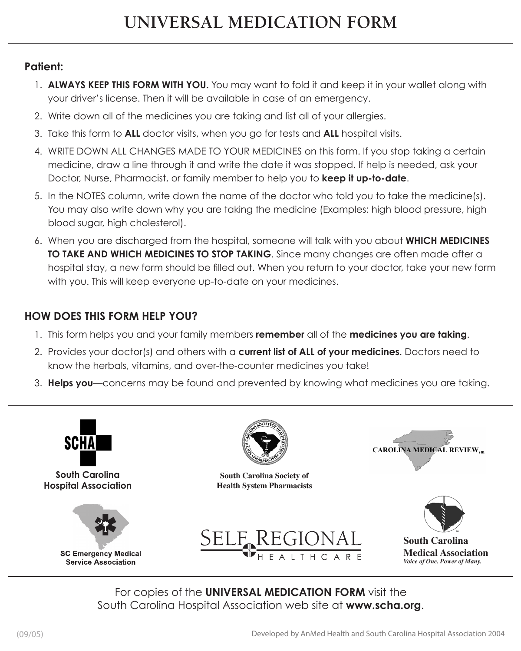## **Patient:**

- 1. **ALWAYS KEEP THIS FORM WITH YOU.** You may want to fold it and keep it in your wallet along with your driver's license. Then it will be available in case of an emergency.
- 2. Write down all of the medicines you are taking and list all of your allergies.
- 3. Take this form to **ALL** doctor visits, when you go for tests and **ALL** hospital visits.
- 4. WRITE DOWN ALL CHANGES MADE TO YOUR MEDICINES on this form. If you stop taking a certain medicine, draw a line through it and write the date it was stopped. If help is needed, ask your Doctor, Nurse, Pharmacist, or family member to help you to **keep it up-to-date**.
- 5. In the NOTES column, write down the name of the doctor who told you to take the medicine(s). You may also write down why you are taking the medicine (Examples: high blood pressure, high blood sugar, high cholesterol).
- 6. When you are discharged from the hospital, someone will talk with you about **which medicines to take and which medicines to stop taking**. Since many changes are often made after a hospital stay, a new form should be filled out. When you return to your doctor, take your new form with you. This will keep everyone up-to-date on your medicines.

## **HOW DOES THIS FORM HELP YOU?**

- 1. This form helps you and your family members **remember** all of the **medicines you are taking**.
- 2. Provides your doctor(s) and others with a **current list of all of your medicines**. Doctors need to know the herbals, vitamins, and over-the-counter medicines you take!
- 3. **Helps you**—concerns may be found and prevented by knowing what medicines you are taking.



For copies of the **UNIVERSAL MEDICATION FORM** visit the South Carolina Hospital Association web site at **www.scha.org**.